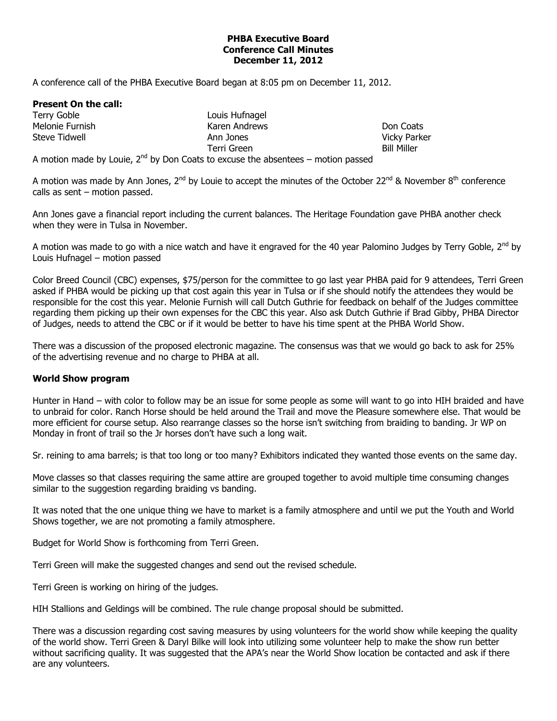## **PHBA Executive Board Conference Call Minutes December 11, 2012**

A conference call of the PHBA Executive Board began at 8:05 pm on December 11, 2012.

## **Present On the call:**

Terry Goble Melonie Furnish Steve Tidwell

Louis Hufnagel Karen Andrews Ann Jones Terri Green

Don Coats Vicky Parker Bill Miller

A motion made by Louie,  $2^{nd}$  by Don Coats to excuse the absentees – motion passed

A motion was made by Ann Jones, 2<sup>nd</sup> by Louie to accept the minutes of the October 22<sup>nd</sup> & November 8<sup>th</sup> conference calls as sent – motion passed.

Ann Jones gave a financial report including the current balances. The Heritage Foundation gave PHBA another check when they were in Tulsa in November.

A motion was made to go with a nice watch and have it engraved for the 40 year Palomino Judges by Terry Goble,  $2^{nd}$  by Louis Hufnagel – motion passed

Color Breed Council (CBC) expenses, \$75/person for the committee to go last year PHBA paid for 9 attendees, Terri Green asked if PHBA would be picking up that cost again this year in Tulsa or if she should notify the attendees they would be responsible for the cost this year. Melonie Furnish will call Dutch Guthrie for feedback on behalf of the Judges committee regarding them picking up their own expenses for the CBC this year. Also ask Dutch Guthrie if Brad Gibby, PHBA Director of Judges, needs to attend the CBC or if it would be better to have his time spent at the PHBA World Show.

There was a discussion of the proposed electronic magazine. The consensus was that we would go back to ask for 25% of the advertising revenue and no charge to PHBA at all.

## **World Show program**

Hunter in Hand – with color to follow may be an issue for some people as some will want to go into HIH braided and have to unbraid for color. Ranch Horse should be held around the Trail and move the Pleasure somewhere else. That would be more efficient for course setup. Also rearrange classes so the horse isn't switching from braiding to banding. Jr WP on Monday in front of trail so the Jr horses don't have such a long wait.

Sr. reining to ama barrels; is that too long or too many? Exhibitors indicated they wanted those events on the same day.

Move classes so that classes requiring the same attire are grouped together to avoid multiple time consuming changes similar to the suggestion regarding braiding vs banding.

It was noted that the one unique thing we have to market is a family atmosphere and until we put the Youth and World Shows together, we are not promoting a family atmosphere.

Budget for World Show is forthcoming from Terri Green.

Terri Green will make the suggested changes and send out the revised schedule.

Terri Green is working on hiring of the judges.

HIH Stallions and Geldings will be combined. The rule change proposal should be submitted.

There was a discussion regarding cost saving measures by using volunteers for the world show while keeping the quality of the world show. Terri Green & Daryl Bilke will look into utilizing some volunteer help to make the show run better without sacrificing quality. It was suggested that the APA's near the World Show location be contacted and ask if there are any volunteers.